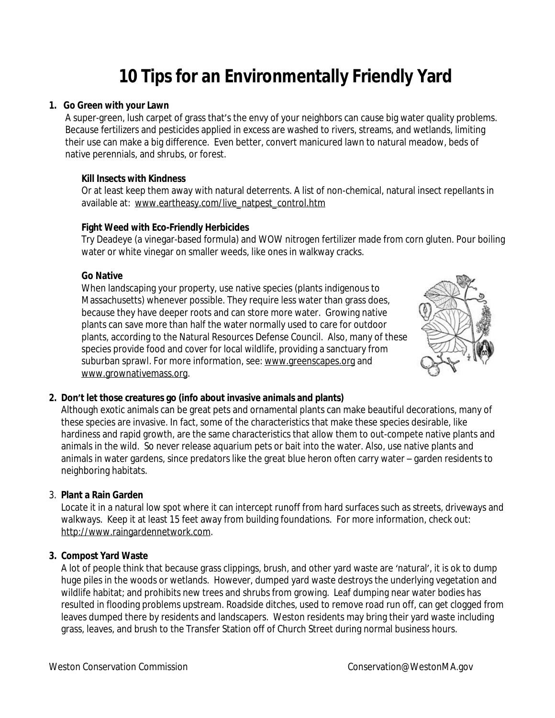# **10 Tips for an Environmentally Friendly Yard**

#### **1. Go Green with your Lawn**

A super-green, lush carpet of grass that's the envy of your neighbors can cause big water quality problems. Because fertilizers and pesticides applied in excess are washed to rivers, streams, and wetlands, limiting their use can make a big difference. Even better, convert manicured lawn to natural meadow, beds of native perennials, and shrubs, or forest.

# **Kill Insects with Kindness**

Or at least keep them away with natural deterrents. A list of non-chemical, natural insect repellants in available at: [www.eartheasy.com/live\\_natpest\\_control.htm](http://www.eartheasy.com/live_natpest_control.htm)

# **Fight Weed with Eco-Friendly Herbicides**

Try Deadeye (a vinegar-based formula) and WOW nitrogen fertilizer made from corn gluten. Pour boiling water or white vinegar on smaller weeds, like ones in walkway cracks.

# **Go Native**

When landscaping your property, use native species (plants indigenous to Massachusetts) whenever possible. They require less water than grass does, because they have deeper roots and can store more water. Growing native plants can save more than half the water normally used to care for outdoor plants, according to the Natural Resources Defense Council. Also, many of these species provide food and cover for local wildlife, providing a sanctuary from suburban sprawl. For more information, see: [www.greenscapes.org](http://www.greenscapes.org) and www.grownativemass.org.



# **2. Don't let those creatures go (info about invasive animals and plants)**

Although exotic animals can be great pets and ornamental plants can make beautiful decorations, many of these species are invasive. In fact, some of the characteristics that make these species desirable, like hardiness and rapid growth, are the same characteristics that allow them to out-compete native plants and animals in the wild. So never release aquarium pets or bait into the water. Also, use native plants and animals in water gardens, since predators like the great blue heron often carry water – garden residents to neighboring habitats.

# 3. **Plant a Rain Garden**

Locate it in a natural low spot where it can intercept runoff from hard surfaces such as streets, driveways and walkways. Keep it at least 15 feet away from building foundations. For more information, check out: http://www.raingardennetwork.com.

#### **3. Compost Yard Waste**

A lot of people think that because grass clippings, brush, and other yard waste are 'natural', it is ok to dump huge piles in the woods or wetlands. However, dumped yard waste destroys the underlying vegetation and wildlife habitat; and prohibits new trees and shrubs from growing. Leaf dumping near water bodies has resulted in flooding problems upstream. Roadside ditches, used to remove road run off, can get clogged from leaves dumped there by residents and landscapers. Weston residents may bring their yard waste including grass, leaves, and brush to the Transfer Station off of Church Street during normal business hours.